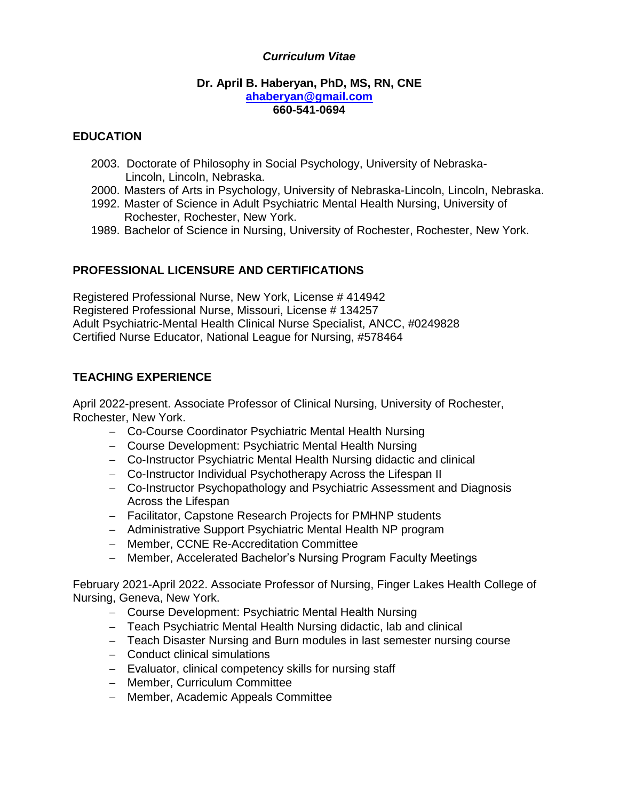## *Curriculum Vitae*

#### **Dr. April B. Haberyan, PhD, MS, RN, CNE [ahaberyan@gmail.com](about:blank) 660-541-0694**

## **EDUCATION**

- 2003. Doctorate of Philosophy in Social Psychology, University of Nebraska- Lincoln, Lincoln, Nebraska.
- 2000. Masters of Arts in Psychology, University of Nebraska-Lincoln, Lincoln, Nebraska.
- 1992. Master of Science in Adult Psychiatric Mental Health Nursing, University of Rochester, Rochester, New York.
- 1989. Bachelor of Science in Nursing, University of Rochester, Rochester, New York.

# **PROFESSIONAL LICENSURE AND CERTIFICATIONS**

Registered Professional Nurse, New York, License # 414942 Registered Professional Nurse, Missouri, License # 134257 Adult Psychiatric-Mental Health Clinical Nurse Specialist, ANCC, #0249828 Certified Nurse Educator, National League for Nursing, #578464

# **TEACHING EXPERIENCE**

April 2022-present. Associate Professor of Clinical Nursing, University of Rochester, Rochester, New York.

- − Co-Course Coordinator Psychiatric Mental Health Nursing
- − Course Development: Psychiatric Mental Health Nursing
- − Co-Instructor Psychiatric Mental Health Nursing didactic and clinical
- − Co-Instructor Individual Psychotherapy Across the Lifespan II
- − Co-Instructor Psychopathology and Psychiatric Assessment and Diagnosis Across the Lifespan
- − Facilitator, Capstone Research Projects for PMHNP students
- − Administrative Support Psychiatric Mental Health NP program
- − Member, CCNE Re-Accreditation Committee
- − Member, Accelerated Bachelor's Nursing Program Faculty Meetings

February 2021-April 2022. Associate Professor of Nursing, Finger Lakes Health College of Nursing, Geneva, New York.

- − Course Development: Psychiatric Mental Health Nursing
- − Teach Psychiatric Mental Health Nursing didactic, lab and clinical
- − Teach Disaster Nursing and Burn modules in last semester nursing course
- − Conduct clinical simulations
- − Evaluator, clinical competency skills for nursing staff
- − Member, Curriculum Committee
- − Member, Academic Appeals Committee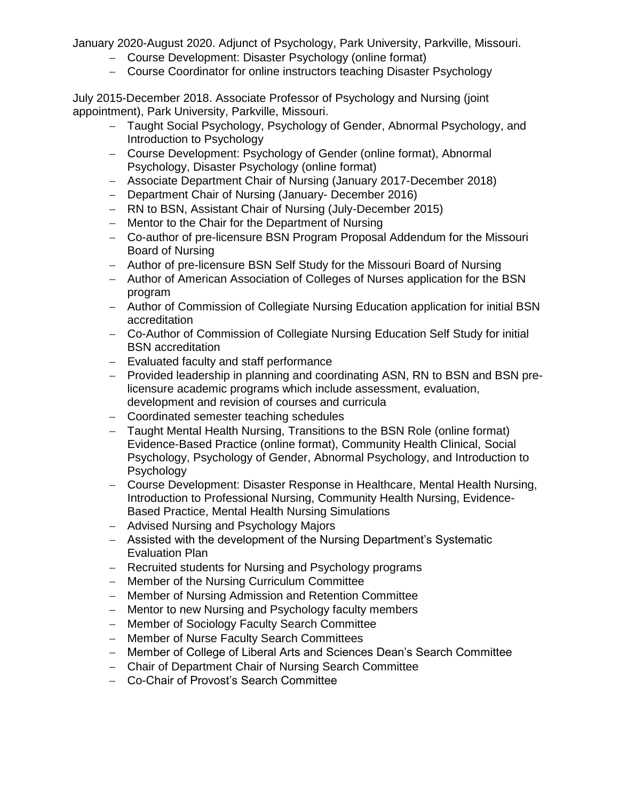January 2020-August 2020. Adjunct of Psychology, Park University, Parkville, Missouri.

- − Course Development: Disaster Psychology (online format)
- − Course Coordinator for online instructors teaching Disaster Psychology

July 2015-December 2018. Associate Professor of Psychology and Nursing (joint appointment), Park University, Parkville, Missouri.

- − Taught Social Psychology, Psychology of Gender, Abnormal Psychology, and Introduction to Psychology
- − Course Development: Psychology of Gender (online format), Abnormal Psychology, Disaster Psychology (online format)
- − Associate Department Chair of Nursing (January 2017-December 2018)
- − Department Chair of Nursing (January- December 2016)
- − RN to BSN, Assistant Chair of Nursing (July-December 2015)
- − Mentor to the Chair for the Department of Nursing
- − Co-author of pre-licensure BSN Program Proposal Addendum for the Missouri Board of Nursing
- − Author of pre-licensure BSN Self Study for the Missouri Board of Nursing
- − Author of American Association of Colleges of Nurses application for the BSN program
- − Author of Commission of Collegiate Nursing Education application for initial BSN accreditation
- − Co-Author of Commission of Collegiate Nursing Education Self Study for initial BSN accreditation
- − Evaluated faculty and staff performance
- − Provided leadership in planning and coordinating ASN, RN to BSN and BSN prelicensure academic programs which include assessment, evaluation, development and revision of courses and curricula
- − Coordinated semester teaching schedules
- − Taught Mental Health Nursing, Transitions to the BSN Role (online format) Evidence-Based Practice (online format), Community Health Clinical, Social Psychology, Psychology of Gender, Abnormal Psychology, and Introduction to **Psychology**
- − Course Development: Disaster Response in Healthcare, Mental Health Nursing, Introduction to Professional Nursing, Community Health Nursing, Evidence-Based Practice, Mental Health Nursing Simulations
- − Advised Nursing and Psychology Majors
- − Assisted with the development of the Nursing Department's Systematic Evaluation Plan
- − Recruited students for Nursing and Psychology programs
- − Member of the Nursing Curriculum Committee
- − Member of Nursing Admission and Retention Committee
- − Mentor to new Nursing and Psychology faculty members
- − Member of Sociology Faculty Search Committee
- − Member of Nurse Faculty Search Committees
- − Member of College of Liberal Arts and Sciences Dean's Search Committee
- − Chair of Department Chair of Nursing Search Committee
- − Co-Chair of Provost's Search Committee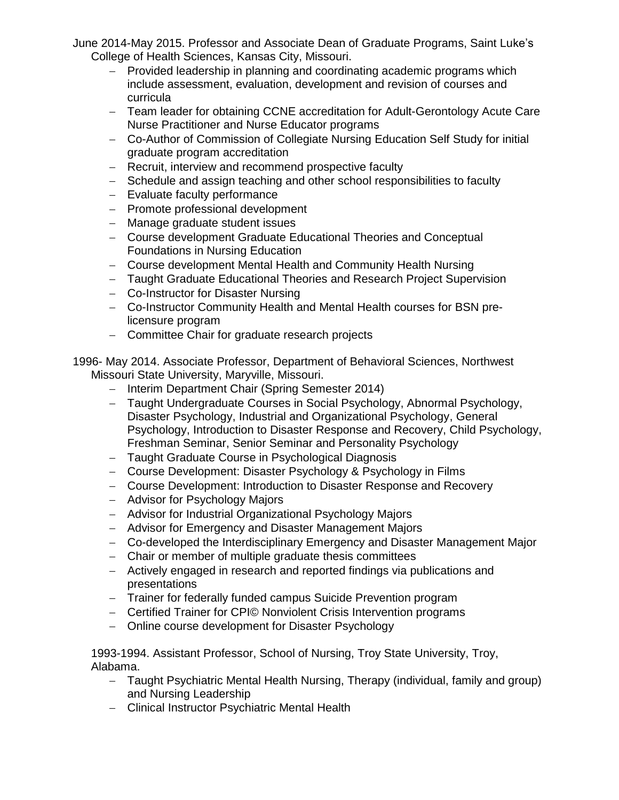June 2014-May 2015. Professor and Associate Dean of Graduate Programs, Saint Luke's College of Health Sciences, Kansas City, Missouri.

- − Provided leadership in planning and coordinating academic programs which include assessment, evaluation, development and revision of courses and curricula
- − Team leader for obtaining CCNE accreditation for Adult-Gerontology Acute Care Nurse Practitioner and Nurse Educator programs
- − Co-Author of Commission of Collegiate Nursing Education Self Study for initial graduate program accreditation
- − Recruit, interview and recommend prospective faculty
- − Schedule and assign teaching and other school responsibilities to faculty
- − Evaluate faculty performance
- − Promote professional development
- − Manage graduate student issues
- − Course development Graduate Educational Theories and Conceptual Foundations in Nursing Education
- − Course development Mental Health and Community Health Nursing
- − Taught Graduate Educational Theories and Research Project Supervision
- − Co-Instructor for Disaster Nursing
- − Co-Instructor Community Health and Mental Health courses for BSN prelicensure program
- − Committee Chair for graduate research projects

1996- May 2014. Associate Professor, Department of Behavioral Sciences, Northwest Missouri State University, Maryville, Missouri.

- − Interim Department Chair (Spring Semester 2014)
- − Taught Undergraduate Courses in Social Psychology, Abnormal Psychology, Disaster Psychology, Industrial and Organizational Psychology, General Psychology, Introduction to Disaster Response and Recovery, Child Psychology, Freshman Seminar, Senior Seminar and Personality Psychology
- − Taught Graduate Course in Psychological Diagnosis
- − Course Development: Disaster Psychology & Psychology in Films
- − Course Development: Introduction to Disaster Response and Recovery
- − Advisor for Psychology Majors
- − Advisor for Industrial Organizational Psychology Majors
- − Advisor for Emergency and Disaster Management Majors
- − Co-developed the Interdisciplinary Emergency and Disaster Management Major
- − Chair or member of multiple graduate thesis committees
- − Actively engaged in research and reported findings via publications and presentations
- − Trainer for federally funded campus Suicide Prevention program
- − Certified Trainer for CPI© Nonviolent Crisis Intervention programs
- − Online course development for Disaster Psychology

1993-1994. Assistant Professor, School of Nursing, Troy State University, Troy, Alabama.

- − Taught Psychiatric Mental Health Nursing, Therapy (individual, family and group) and Nursing Leadership
- − Clinical Instructor Psychiatric Mental Health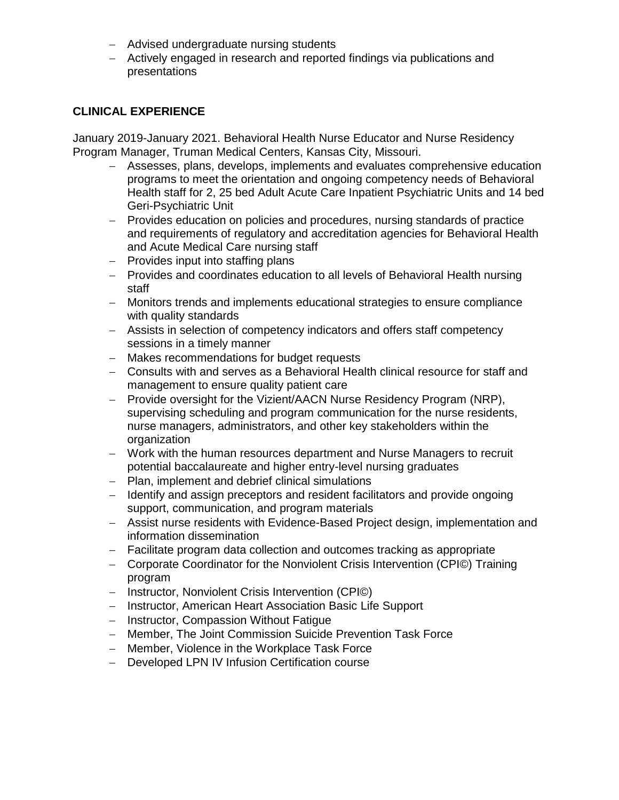- − Advised undergraduate nursing students
- − Actively engaged in research and reported findings via publications and presentations

## **CLINICAL EXPERIENCE**

January 2019-January 2021. Behavioral Health Nurse Educator and Nurse Residency Program Manager, Truman Medical Centers, Kansas City, Missouri.

- − Assesses, plans, develops, implements and evaluates comprehensive education programs to meet the orientation and ongoing competency needs of Behavioral Health staff for 2, 25 bed Adult Acute Care Inpatient Psychiatric Units and 14 bed Geri-Psychiatric Unit
- − Provides education on policies and procedures, nursing standards of practice and requirements of regulatory and accreditation agencies for Behavioral Health and Acute Medical Care nursing staff
- − Provides input into staffing plans
- − Provides and coordinates education to all levels of Behavioral Health nursing staff
- − Monitors trends and implements educational strategies to ensure compliance with quality standards
- − Assists in selection of competency indicators and offers staff competency sessions in a timely manner
- − Makes recommendations for budget requests
- − Consults with and serves as a Behavioral Health clinical resource for staff and management to ensure quality patient care
- − Provide oversight for the Vizient/AACN Nurse Residency Program (NRP), supervising scheduling and program communication for the nurse residents, nurse managers, administrators, and other key stakeholders within the organization
- − Work with the human resources department and Nurse Managers to recruit potential baccalaureate and higher entry-level nursing graduates
- − Plan, implement and debrief clinical simulations
- − Identify and assign preceptors and resident facilitators and provide ongoing support, communication, and program materials
- − Assist nurse residents with Evidence-Based Project design, implementation and information dissemination
- − Facilitate program data collection and outcomes tracking as appropriate
- − Corporate Coordinator for the Nonviolent Crisis Intervention (CPI©) Training program
- − Instructor, Nonviolent Crisis Intervention (CPI©)
- − Instructor, American Heart Association Basic Life Support
- − Instructor, Compassion Without Fatigue
- − Member, The Joint Commission Suicide Prevention Task Force
- − Member, Violence in the Workplace Task Force
- − Developed LPN IV Infusion Certification course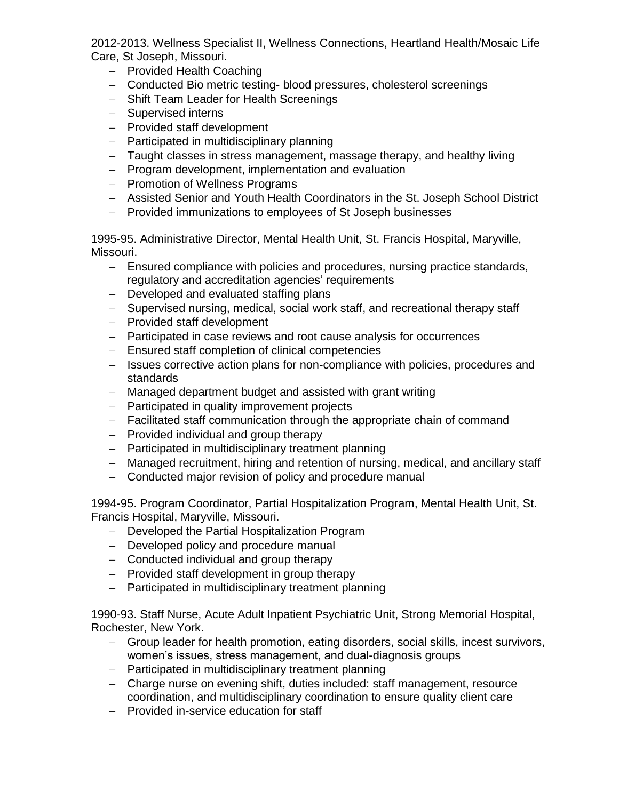2012-2013. Wellness Specialist II, Wellness Connections, Heartland Health/Mosaic Life Care, St Joseph, Missouri.

- − Provided Health Coaching
- − Conducted Bio metric testing- blood pressures, cholesterol screenings
- − Shift Team Leader for Health Screenings
- − Supervised interns
- − Provided staff development
- − Participated in multidisciplinary planning
- − Taught classes in stress management, massage therapy, and healthy living
- − Program development, implementation and evaluation
- − Promotion of Wellness Programs
- − Assisted Senior and Youth Health Coordinators in the St. Joseph School District
- − Provided immunizations to employees of St Joseph businesses

1995-95. Administrative Director, Mental Health Unit, St. Francis Hospital, Maryville, Missouri.

- − Ensured compliance with policies and procedures, nursing practice standards, regulatory and accreditation agencies' requirements
- − Developed and evaluated staffing plans
- − Supervised nursing, medical, social work staff, and recreational therapy staff
- − Provided staff development
- − Participated in case reviews and root cause analysis for occurrences
- − Ensured staff completion of clinical competencies
- − Issues corrective action plans for non-compliance with policies, procedures and standards
- − Managed department budget and assisted with grant writing
- − Participated in quality improvement projects
- − Facilitated staff communication through the appropriate chain of command
- − Provided individual and group therapy
- − Participated in multidisciplinary treatment planning
- − Managed recruitment, hiring and retention of nursing, medical, and ancillary staff
- − Conducted major revision of policy and procedure manual

1994-95. Program Coordinator, Partial Hospitalization Program, Mental Health Unit, St. Francis Hospital, Maryville, Missouri.

- − Developed the Partial Hospitalization Program
- − Developed policy and procedure manual
- − Conducted individual and group therapy
- − Provided staff development in group therapy
- − Participated in multidisciplinary treatment planning

1990-93. Staff Nurse, Acute Adult Inpatient Psychiatric Unit, Strong Memorial Hospital, Rochester, New York.

- − Group leader for health promotion, eating disorders, social skills, incest survivors, women's issues, stress management, and dual-diagnosis groups
- − Participated in multidisciplinary treatment planning
- − Charge nurse on evening shift, duties included: staff management, resource coordination, and multidisciplinary coordination to ensure quality client care
- − Provided in-service education for staff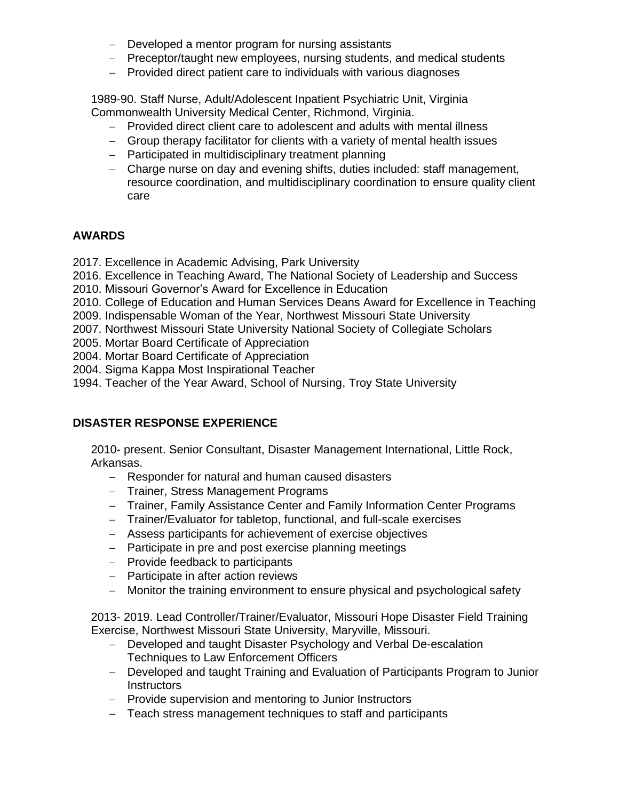- − Developed a mentor program for nursing assistants
- − Preceptor/taught new employees, nursing students, and medical students
- − Provided direct patient care to individuals with various diagnoses

1989-90. Staff Nurse, Adult/Adolescent Inpatient Psychiatric Unit, Virginia Commonwealth University Medical Center, Richmond, Virginia.

- − Provided direct client care to adolescent and adults with mental illness
- − Group therapy facilitator for clients with a variety of mental health issues
- − Participated in multidisciplinary treatment planning
- − Charge nurse on day and evening shifts, duties included: staff management, resource coordination, and multidisciplinary coordination to ensure quality client care

## **AWARDS**

- 2017. Excellence in Academic Advising, Park University
- 2016. Excellence in Teaching Award, The National Society of Leadership and Success
- 2010. Missouri Governor's Award for Excellence in Education
- 2010. College of Education and Human Services Deans Award for Excellence in Teaching
- 2009. Indispensable Woman of the Year, Northwest Missouri State University
- 2007. Northwest Missouri State University National Society of Collegiate Scholars
- 2005. Mortar Board Certificate of Appreciation
- 2004. Mortar Board Certificate of Appreciation
- 2004. Sigma Kappa Most Inspirational Teacher
- 1994. Teacher of the Year Award, School of Nursing, Troy State University

# **DISASTER RESPONSE EXPERIENCE**

2010- present. Senior Consultant, Disaster Management International, Little Rock, Arkansas.

- − Responder for natural and human caused disasters
- − Trainer, Stress Management Programs
- − Trainer, Family Assistance Center and Family Information Center Programs
- − Trainer/Evaluator for tabletop, functional, and full-scale exercises
- − Assess participants for achievement of exercise objectives
- − Participate in pre and post exercise planning meetings
- − Provide feedback to participants
- − Participate in after action reviews
- − Monitor the training environment to ensure physical and psychological safety

2013- 2019. Lead Controller/Trainer/Evaluator, Missouri Hope Disaster Field Training Exercise, Northwest Missouri State University, Maryville, Missouri.

- − Developed and taught Disaster Psychology and Verbal De-escalation Techniques to Law Enforcement Officers
- − Developed and taught Training and Evaluation of Participants Program to Junior **Instructors**
- − Provide supervision and mentoring to Junior Instructors
- − Teach stress management techniques to staff and participants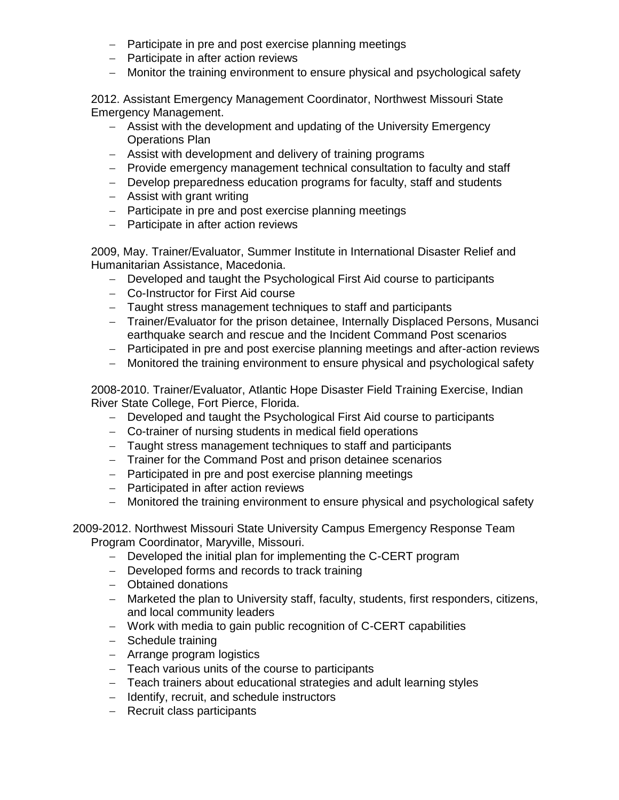- − Participate in pre and post exercise planning meetings
- − Participate in after action reviews
- − Monitor the training environment to ensure physical and psychological safety

2012. Assistant Emergency Management Coordinator, Northwest Missouri State Emergency Management.

- − Assist with the development and updating of the University Emergency Operations Plan
- − Assist with development and delivery of training programs
- − Provide emergency management technical consultation to faculty and staff
- − Develop preparedness education programs for faculty, staff and students
- − Assist with grant writing
- − Participate in pre and post exercise planning meetings
- − Participate in after action reviews

2009, May. Trainer/Evaluator, Summer Institute in International Disaster Relief and Humanitarian Assistance, Macedonia.

- − Developed and taught the Psychological First Aid course to participants
- − Co-Instructor for First Aid course
- − Taught stress management techniques to staff and participants
- − Trainer/Evaluator for the prison detainee, Internally Displaced Persons, Musanci earthquake search and rescue and the Incident Command Post scenarios
- − Participated in pre and post exercise planning meetings and after-action reviews
- − Monitored the training environment to ensure physical and psychological safety

2008-2010. Trainer/Evaluator, Atlantic Hope Disaster Field Training Exercise, Indian River State College, Fort Pierce, Florida.

- − Developed and taught the Psychological First Aid course to participants
- − Co-trainer of nursing students in medical field operations
- − Taught stress management techniques to staff and participants
- − Trainer for the Command Post and prison detainee scenarios
- − Participated in pre and post exercise planning meetings
- − Participated in after action reviews
- − Monitored the training environment to ensure physical and psychological safety

2009-2012. Northwest Missouri State University Campus Emergency Response Team Program Coordinator, Maryville, Missouri.

- − Developed the initial plan for implementing the C-CERT program
- − Developed forms and records to track training
- − Obtained donations
- − Marketed the plan to University staff, faculty, students, first responders, citizens, and local community leaders
- − Work with media to gain public recognition of C-CERT capabilities
- − Schedule training
- − Arrange program logistics
- − Teach various units of the course to participants
- − Teach trainers about educational strategies and adult learning styles
- − Identify, recruit, and schedule instructors
- − Recruit class participants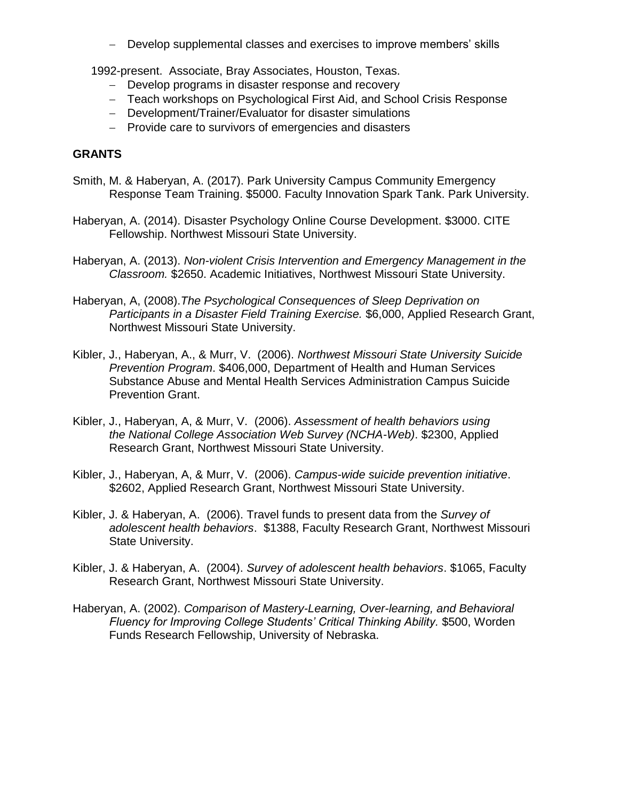− Develop supplemental classes and exercises to improve members' skills

1992-present. Associate, Bray Associates, Houston, Texas.

- − Develop programs in disaster response and recovery
- − Teach workshops on Psychological First Aid, and School Crisis Response
- − Development/Trainer/Evaluator for disaster simulations
- − Provide care to survivors of emergencies and disasters

# **GRANTS**

- Smith, M. & Haberyan, A. (2017). Park University Campus Community Emergency Response Team Training. \$5000. Faculty Innovation Spark Tank. Park University.
- Haberyan, A. (2014). Disaster Psychology Online Course Development. \$3000. CITE Fellowship. Northwest Missouri State University.
- Haberyan, A. (2013). *Non-violent Crisis Intervention and Emergency Management in the Classroom.* \$2650. Academic Initiatives, Northwest Missouri State University.
- Haberyan, A, (2008).*The Psychological Consequences of Sleep Deprivation on Participants in a Disaster Field Training Exercise.* \$6,000, Applied Research Grant, Northwest Missouri State University.
- Kibler, J., Haberyan, A., & Murr, V. (2006). *Northwest Missouri State University Suicide Prevention Program*. \$406,000, Department of Health and Human Services Substance Abuse and Mental Health Services Administration Campus Suicide Prevention Grant.
- Kibler, J., Haberyan, A, & Murr, V. (2006). *Assessment of health behaviors using the National College Association Web Survey (NCHA-Web)*. \$2300, Applied Research Grant, Northwest Missouri State University.
- Kibler, J., Haberyan, A, & Murr, V. (2006). *Campus-wide suicide prevention initiative*. \$2602, Applied Research Grant, Northwest Missouri State University.
- Kibler, J. & Haberyan, A. (2006). Travel funds to present data from the *Survey of adolescent health behaviors*. \$1388, Faculty Research Grant, Northwest Missouri State University.
- Kibler, J. & Haberyan, A. (2004). *Survey of adolescent health behaviors*. \$1065, Faculty Research Grant, Northwest Missouri State University.
- Haberyan, A. (2002). *Comparison of Mastery-Learning, Over-learning, and Behavioral Fluency for Improving College Students' Critical Thinking Ability.* \$500, Worden Funds Research Fellowship, University of Nebraska.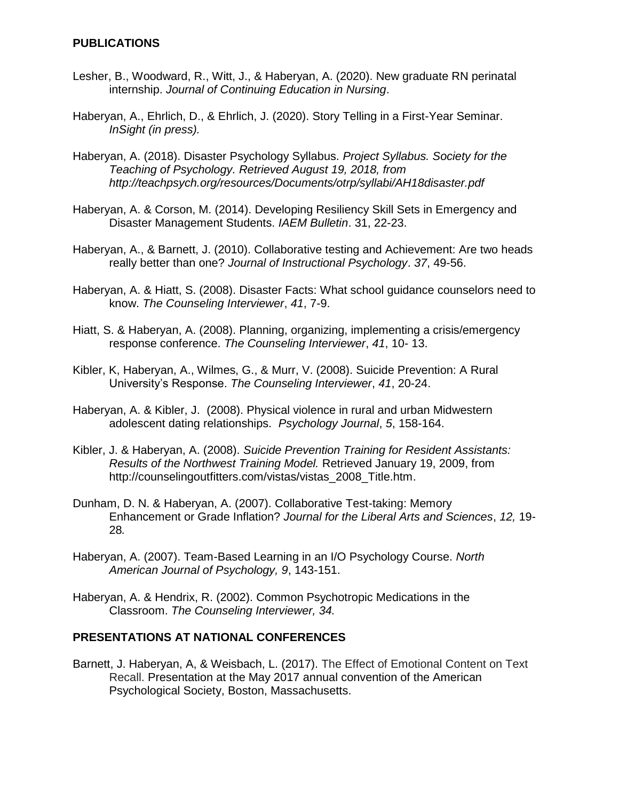### **PUBLICATIONS**

- Lesher, B., Woodward, R., Witt, J., & Haberyan, A. (2020). New graduate RN perinatal internship. *Journal of Continuing Education in Nursing*.
- Haberyan, A., Ehrlich, D., & Ehrlich, J. (2020). Story Telling in a First-Year Seminar. *InSight (in press).*
- Haberyan, A. (2018). Disaster Psychology Syllabus. *Project Syllabus. Society for the Teaching of Psychology. Retrieved August 19, 2018, from http://teachpsych.org/resources/Documents/otrp/syllabi/AH18disaster.pdf*
- Haberyan, A. & Corson, M. (2014). Developing Resiliency Skill Sets in Emergency and Disaster Management Students. *IAEM Bulletin*. 31, 22-23.
- Haberyan, A., & Barnett, J. (2010). Collaborative testing and Achievement: Are two heads really better than one? *Journal of Instructional Psychology*. *37*, 49-56.
- Haberyan, A. & Hiatt, S. (2008). Disaster Facts: What school guidance counselors need to know. *The Counseling Interviewer*, *41*, 7-9.
- Hiatt, S. & Haberyan, A. (2008). Planning, organizing, implementing a crisis/emergency response conference. *The Counseling Interviewer*, *41*, 10- 13.
- Kibler, K, Haberyan, A., Wilmes, G., & Murr, V. (2008). Suicide Prevention: A Rural University's Response. *The Counseling Interviewer*, *41*, 20-24.
- Haberyan, A. & Kibler, J. (2008). Physical violence in rural and urban Midwestern adolescent dating relationships. *Psychology Journal*, *5*, 158-164.
- Kibler, J. & Haberyan, A. (2008). *Suicide Prevention Training for Resident Assistants: Results of the Northwest Training Model.* Retrieved January 19, 2009, from [http://counselingoutfitters.com/vistas/vistas\\_2008\\_Title.htm.](about:blank)
- Dunham, D. N. & Haberyan, A. (2007). Collaborative Test-taking: Memory Enhancement or Grade Inflation? *Journal for the Liberal Arts and Sciences*, *12,* 19- 28*.*
- Haberyan, A. (2007). Team-Based Learning in an I/O Psychology Course. *North American Journal of Psychology, 9*, 143-151.
- Haberyan, A. & Hendrix, R. (2002). Common Psychotropic Medications in the Classroom. *The Counseling Interviewer, 34.*

#### **PRESENTATIONS AT NATIONAL CONFERENCES**

Barnett, J. Haberyan, A, & Weisbach, L. (2017). The Effect of Emotional Content on Text Recall. Presentation at the May 2017 annual convention of the American Psychological Society, Boston, Massachusetts.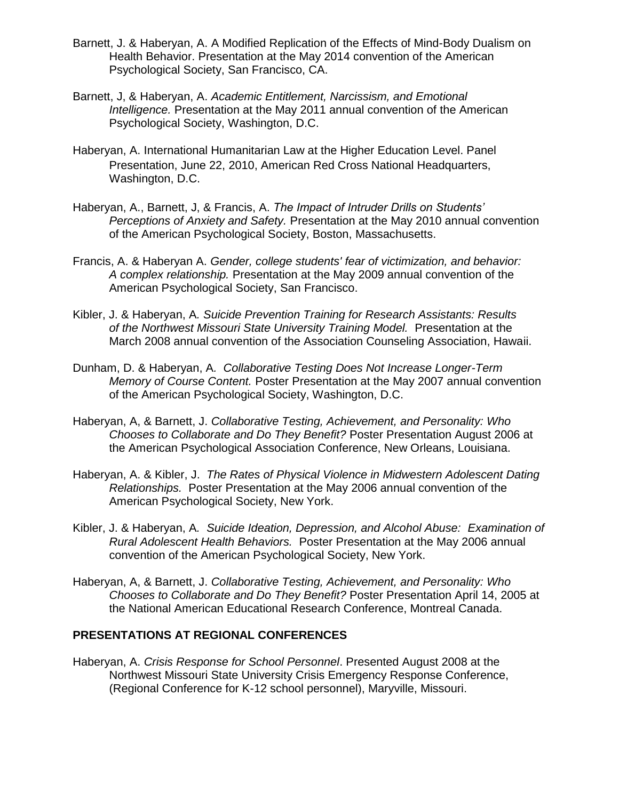- Barnett, J. & Haberyan, A. A Modified Replication of the Effects of Mind-Body Dualism on Health Behavior. Presentation at the May 2014 convention of the American Psychological Society, San Francisco, CA.
- Barnett, J, & Haberyan, A. *Academic Entitlement, Narcissism, and Emotional Intelligence.* Presentation at the May 2011 annual convention of the American Psychological Society, Washington, D.C.
- Haberyan, A. International Humanitarian Law at the Higher Education Level. Panel Presentation, June 22, 2010, American Red Cross National Headquarters, Washington, D.C.
- Haberyan, A., Barnett, J, & Francis, A. *The Impact of Intruder Drills on Students' Perceptions of Anxiety and Safety.* Presentation at the May 2010 annual convention of the American Psychological Society, Boston, Massachusetts.
- Francis, A. & Haberyan A. *Gender, college students' fear of victimization, and behavior: A complex relationship.* Presentation at the May 2009 annual convention of the American Psychological Society, San Francisco.
- Kibler, J. & Haberyan, A*. Suicide Prevention Training for Research Assistants: Results of the Northwest Missouri State University Training Model.* Presentation at the March 2008 annual convention of the Association Counseling Association, Hawaii.
- Dunham, D. & Haberyan, A*. Collaborative Testing Does Not Increase Longer-Term Memory of Course Content.* Poster Presentation at the May 2007 annual convention of the American Psychological Society, Washington, D.C.
- Haberyan, A, & Barnett, J. *Collaborative Testing, Achievement, and Personality: Who Chooses to Collaborate and Do They Benefit?* Poster Presentation August 2006 at the American Psychological Association Conference, New Orleans, Louisiana.
- Haberyan, A. & Kibler, J. *The Rates of Physical Violence in Midwestern Adolescent Dating Relationships.* Poster Presentation at the May 2006 annual convention of the American Psychological Society, New York.
- Kibler, J. & Haberyan, A*. Suicide Ideation, Depression, and Alcohol Abuse: Examination of Rural Adolescent Health Behaviors.* Poster Presentation at the May 2006 annual convention of the American Psychological Society, New York.
- Haberyan, A, & Barnett, J. *Collaborative Testing, Achievement, and Personality: Who Chooses to Collaborate and Do They Benefit?* Poster Presentation April 14, 2005 at the National American Educational Research Conference, Montreal Canada.

### **PRESENTATIONS AT REGIONAL CONFERENCES**

Haberyan, A. *Crisis Response for School Personnel*. Presented August 2008 at the Northwest Missouri State University Crisis Emergency Response Conference, (Regional Conference for K-12 school personnel), Maryville, Missouri.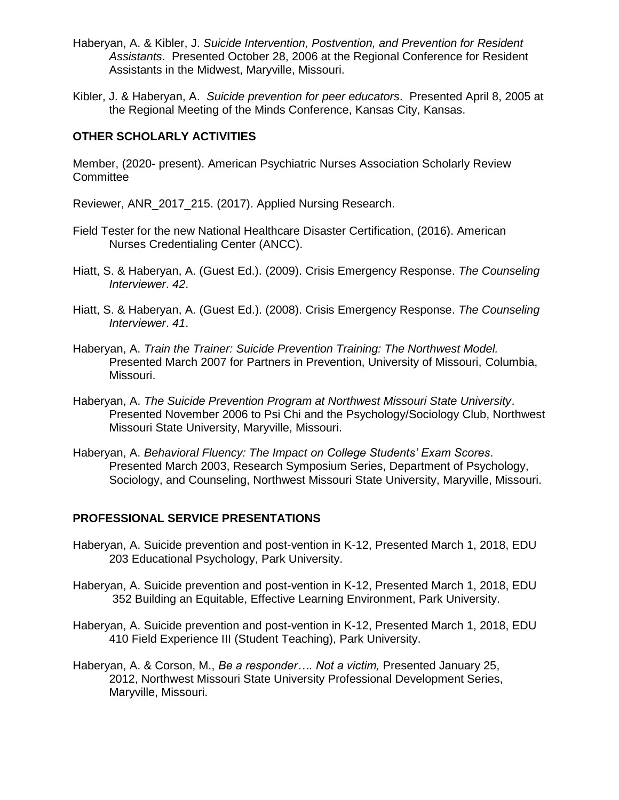- Haberyan, A. & Kibler, J. *Suicide Intervention, Postvention, and Prevention for Resident Assistants*. Presented October 28, 2006 at the Regional Conference for Resident Assistants in the Midwest, Maryville, Missouri.
- Kibler, J. & Haberyan, A. *Suicide prevention for peer educators*. Presented April 8, 2005 at the Regional Meeting of the Minds Conference, Kansas City, Kansas.

## **OTHER SCHOLARLY ACTIVITIES**

Member, (2020- present). American Psychiatric Nurses Association Scholarly Review **Committee** 

Reviewer, ANR\_2017\_215. (2017). Applied Nursing Research.

- Field Tester for the new National Healthcare Disaster Certification, (2016). American Nurses Credentialing Center (ANCC).
- Hiatt, S. & Haberyan, A. (Guest Ed.). (2009). Crisis Emergency Response. *The Counseling Interviewer*. *42*.
- Hiatt, S. & Haberyan, A. (Guest Ed.). (2008). Crisis Emergency Response. *The Counseling Interviewer*. *41*.
- Haberyan, A. *Train the Trainer: Suicide Prevention Training: The Northwest Model.* Presented March 2007 for Partners in Prevention, University of Missouri, Columbia, Missouri.
- Haberyan, A. *The Suicide Prevention Program at Northwest Missouri State University*. Presented November 2006 to Psi Chi and the Psychology/Sociology Club, Northwest Missouri State University, Maryville, Missouri.
- Haberyan, A. *Behavioral Fluency: The Impact on College Students' Exam Scores*. Presented March 2003, Research Symposium Series, Department of Psychology, Sociology, and Counseling, Northwest Missouri State University, Maryville, Missouri.

### **PROFESSIONAL SERVICE PRESENTATIONS**

- Haberyan, A. Suicide prevention and post-vention in K-12, Presented March 1, 2018, EDU 203 Educational Psychology, Park University.
- Haberyan, A. Suicide prevention and post-vention in K-12, Presented March 1, 2018, EDU 352 Building an Equitable, Effective Learning Environment, Park University.
- Haberyan, A. Suicide prevention and post-vention in K-12, Presented March 1, 2018, EDU 410 Field Experience III (Student Teaching), Park University.
- Haberyan, A. & Corson, M., *Be a responder…. Not a victim,* Presented January 25, 2012, Northwest Missouri State University Professional Development Series, Maryville, Missouri.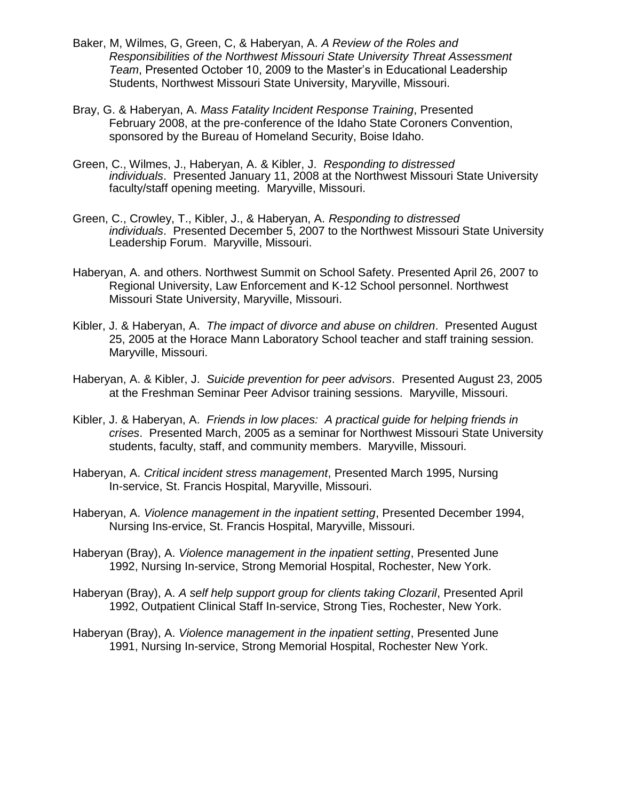- Baker, M, Wilmes, G, Green, C, & Haberyan, A. *A Review of the Roles and Responsibilities of the Northwest Missouri State University Threat Assessment Team*, Presented October 10, 2009 to the Master's in Educational Leadership Students, Northwest Missouri State University, Maryville, Missouri.
- Bray, G. & Haberyan, A. *Mass Fatality Incident Response Training*, Presented February 2008, at the pre-conference of the Idaho State Coroners Convention, sponsored by the Bureau of Homeland Security, Boise Idaho.
- Green, C., Wilmes, J., Haberyan, A. & Kibler, J. *Responding to distressed individuals*. Presented January 11, 2008 at the Northwest Missouri State University faculty/staff opening meeting. Maryville, Missouri.
- Green, C., Crowley, T., Kibler, J., & Haberyan, A. *Responding to distressed individuals*. Presented December 5, 2007 to the Northwest Missouri State University Leadership Forum. Maryville, Missouri.
- Haberyan, A. and others. Northwest Summit on School Safety. Presented April 26, 2007 to Regional University, Law Enforcement and K-12 School personnel. Northwest Missouri State University, Maryville, Missouri.
- Kibler, J. & Haberyan, A. *The impact of divorce and abuse on children*. Presented August 25, 2005 at the Horace Mann Laboratory School teacher and staff training session. Maryville, Missouri.
- Haberyan, A. & Kibler, J. *Suicide prevention for peer advisors*. Presented August 23, 2005 at the Freshman Seminar Peer Advisor training sessions. Maryville, Missouri.
- Kibler, J. & Haberyan, A. *Friends in low places: A practical guide for helping friends in crises*. Presented March, 2005 as a seminar for Northwest Missouri State University students, faculty, staff, and community members. Maryville, Missouri.
- Haberyan, A. *Critical incident stress management*, Presented March 1995, Nursing In-service, St. Francis Hospital, Maryville, Missouri.
- Haberyan, A. *Violence management in the inpatient setting*, Presented December 1994, Nursing Ins-ervice, St. Francis Hospital, Maryville, Missouri.
- Haberyan (Bray), A. *Violence management in the inpatient setting*, Presented June 1992, Nursing In-service, Strong Memorial Hospital, Rochester, New York.
- Haberyan (Bray), A. *A self help support group for clients taking Clozaril*, Presented April 1992, Outpatient Clinical Staff In-service, Strong Ties, Rochester, New York.
- Haberyan (Bray), A. *Violence management in the inpatient setting*, Presented June 1991, Nursing In-service, Strong Memorial Hospital, Rochester New York.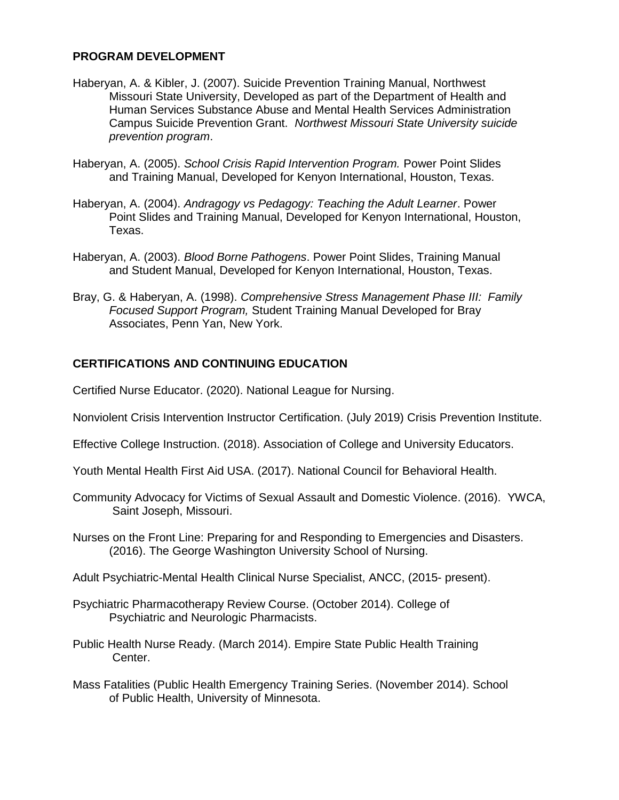### **PROGRAM DEVELOPMENT**

- Haberyan, A. & Kibler, J. (2007). Suicide Prevention Training Manual, Northwest Missouri State University, Developed as part of the Department of Health and Human Services Substance Abuse and Mental Health Services Administration Campus Suicide Prevention Grant. *Northwest Missouri State University suicide prevention program*.
- Haberyan, A. (2005). *School Crisis Rapid Intervention Program.* Power Point Slides and Training Manual, Developed for Kenyon International, Houston, Texas.
- Haberyan, A. (2004). *Andragogy vs Pedagogy: Teaching the Adult Learner*. Power Point Slides and Training Manual, Developed for Kenyon International, Houston, Texas.
- Haberyan, A. (2003). *Blood Borne Pathogens*. Power Point Slides, Training Manual and Student Manual, Developed for Kenyon International, Houston, Texas.
- Bray, G. & Haberyan, A. (1998). *Comprehensive Stress Management Phase III: Family Focused Support Program,* Student Training Manual Developed for Bray Associates, Penn Yan, New York.

### **CERTIFICATIONS AND CONTINUING EDUCATION**

Certified Nurse Educator. (2020). National League for Nursing.

Nonviolent Crisis Intervention Instructor Certification. (July 2019) Crisis Prevention Institute.

Effective College Instruction. (2018). Association of College and University Educators.

Youth Mental Health First Aid USA. (2017). National Council for Behavioral Health.

- Community Advocacy for Victims of Sexual Assault and Domestic Violence. (2016). YWCA, Saint Joseph, Missouri.
- Nurses on the Front Line: Preparing for and Responding to Emergencies and Disasters. (2016). The George Washington University School of Nursing.

Adult Psychiatric-Mental Health Clinical Nurse Specialist, ANCC, (2015- present).

- Psychiatric Pharmacotherapy Review Course. (October 2014). College of Psychiatric and Neurologic Pharmacists.
- Public Health Nurse Ready. (March 2014). Empire State Public Health Training Center.
- Mass Fatalities (Public Health Emergency Training Series. (November 2014). School of Public Health, University of Minnesota.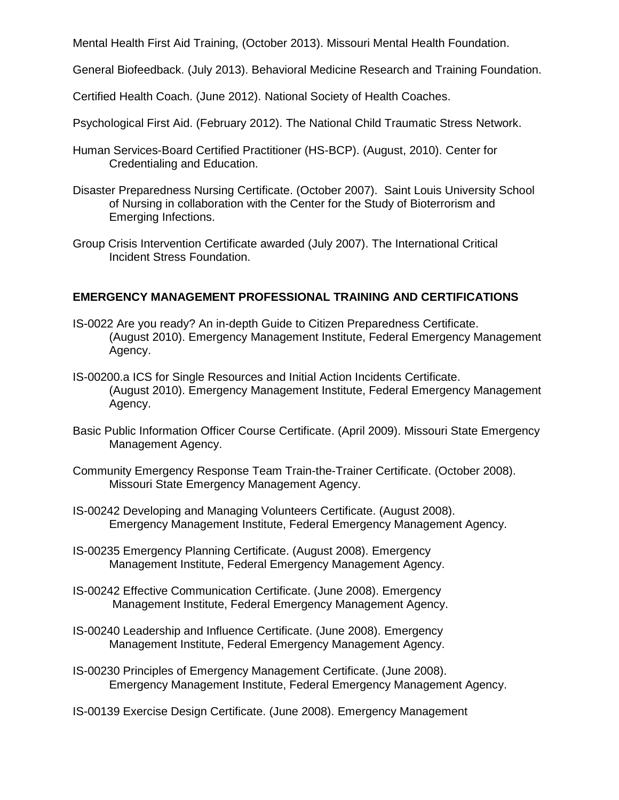Mental Health First Aid Training, (October 2013). Missouri Mental Health Foundation.

General Biofeedback. (July 2013). Behavioral Medicine Research and Training Foundation.

Certified Health Coach. (June 2012). National Society of Health Coaches.

Psychological First Aid. (February 2012). The National Child Traumatic Stress Network.

- Human Services-Board Certified Practitioner (HS-BCP). (August, 2010). Center for Credentialing and Education.
- Disaster Preparedness Nursing Certificate. (October 2007). Saint Louis University School of Nursing in collaboration with the Center for the Study of Bioterrorism and Emerging Infections.
- Group Crisis Intervention Certificate awarded (July 2007). The International Critical Incident Stress Foundation.

# **EMERGENCY MANAGEMENT PROFESSIONAL TRAINING AND CERTIFICATIONS**

- IS-0022 Are you ready? An in-depth Guide to Citizen Preparedness Certificate. (August 2010). Emergency Management Institute, Federal Emergency Management Agency.
- IS-00200.a ICS for Single Resources and Initial Action Incidents Certificate. (August 2010). Emergency Management Institute, Federal Emergency Management Agency.
- Basic Public Information Officer Course Certificate. (April 2009). Missouri State Emergency Management Agency.
- Community Emergency Response Team Train-the-Trainer Certificate. (October 2008). Missouri State Emergency Management Agency.
- IS-00242 Developing and Managing Volunteers Certificate. (August 2008). Emergency Management Institute, Federal Emergency Management Agency.
- IS-00235 Emergency Planning Certificate. (August 2008). Emergency Management Institute, Federal Emergency Management Agency.
- IS-00242 Effective Communication Certificate. (June 2008). Emergency Management Institute, Federal Emergency Management Agency.
- IS-00240 Leadership and Influence Certificate. (June 2008). Emergency Management Institute, Federal Emergency Management Agency.
- IS-00230 Principles of Emergency Management Certificate. (June 2008). Emergency Management Institute, Federal Emergency Management Agency.
- IS-00139 Exercise Design Certificate. (June 2008). Emergency Management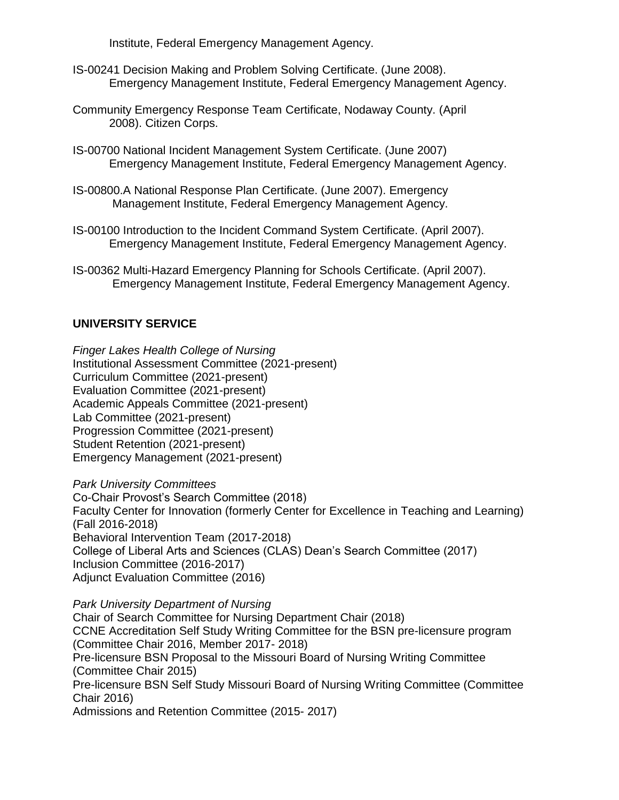Institute, Federal Emergency Management Agency.

- IS-00241 Decision Making and Problem Solving Certificate. (June 2008). Emergency Management Institute, Federal Emergency Management Agency.
- Community Emergency Response Team Certificate, Nodaway County. (April 2008). Citizen Corps.
- IS-00700 National Incident Management System Certificate. (June 2007) Emergency Management Institute, Federal Emergency Management Agency.
- IS-00800.A National Response Plan Certificate. (June 2007). Emergency Management Institute, Federal Emergency Management Agency.
- IS-00100 Introduction to the Incident Command System Certificate. (April 2007). Emergency Management Institute, Federal Emergency Management Agency.
- IS-00362 Multi-Hazard Emergency Planning for Schools Certificate. (April 2007). Emergency Management Institute, Federal Emergency Management Agency.

# **UNIVERSITY SERVICE**

*Finger Lakes Health College of Nursing* Institutional Assessment Committee (2021-present) Curriculum Committee (2021-present) Evaluation Committee (2021-present) Academic Appeals Committee (2021-present) Lab Committee (2021-present) Progression Committee (2021-present) Student Retention (2021-present) Emergency Management (2021-present)

*Park University Committees* Co-Chair Provost's Search Committee (2018) Faculty Center for Innovation (formerly Center for Excellence in Teaching and Learning) (Fall 2016-2018) Behavioral Intervention Team (2017-2018) College of Liberal Arts and Sciences (CLAS) Dean's Search Committee (2017) Inclusion Committee (2016-2017) Adjunct Evaluation Committee (2016)

*Park University Department of Nursing*

Chair of Search Committee for Nursing Department Chair (2018) CCNE Accreditation Self Study Writing Committee for the BSN pre-licensure program (Committee Chair 2016, Member 2017- 2018) Pre-licensure BSN Proposal to the Missouri Board of Nursing Writing Committee (Committee Chair 2015) Pre-licensure BSN Self Study Missouri Board of Nursing Writing Committee (Committee Chair 2016) Admissions and Retention Committee (2015- 2017)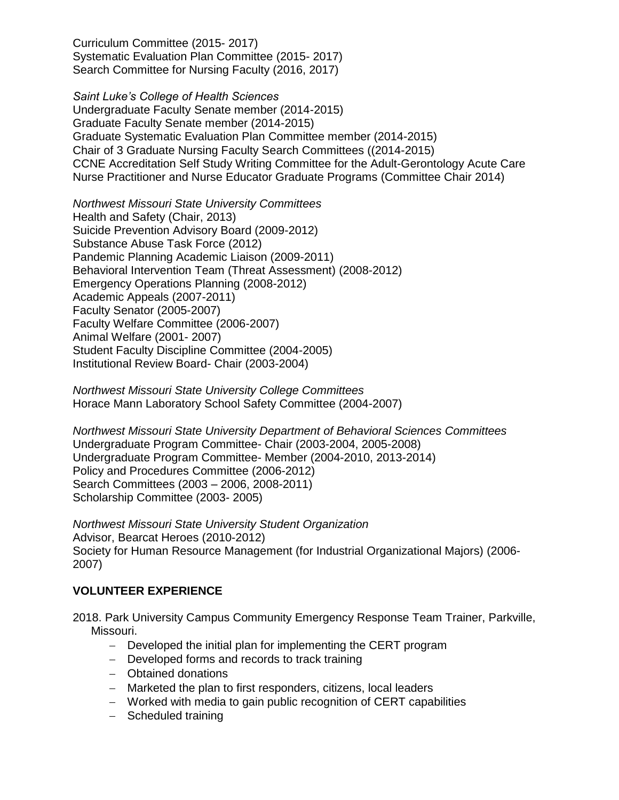Curriculum Committee (2015- 2017) Systematic Evaluation Plan Committee (2015- 2017) Search Committee for Nursing Faculty (2016, 2017)

*Saint Luke's College of Health Sciences* Undergraduate Faculty Senate member (2014-2015) Graduate Faculty Senate member (2014-2015) Graduate Systematic Evaluation Plan Committee member (2014-2015) Chair of 3 Graduate Nursing Faculty Search Committees ((2014-2015) CCNE Accreditation Self Study Writing Committee for the Adult-Gerontology Acute Care Nurse Practitioner and Nurse Educator Graduate Programs (Committee Chair 2014)

*Northwest Missouri State University Committees* Health and Safety (Chair, 2013) Suicide Prevention Advisory Board (2009-2012) Substance Abuse Task Force (2012) Pandemic Planning Academic Liaison (2009-2011) Behavioral Intervention Team (Threat Assessment) (2008-2012) Emergency Operations Planning (2008-2012) Academic Appeals (2007-2011) Faculty Senator (2005-2007) Faculty Welfare Committee (2006-2007) Animal Welfare (2001- 2007) Student Faculty Discipline Committee (2004-2005) Institutional Review Board- Chair (2003-2004)

*Northwest Missouri State University College Committees* Horace Mann Laboratory School Safety Committee (2004-2007)

*Northwest Missouri State University Department of Behavioral Sciences Committees* Undergraduate Program Committee- Chair (2003-2004, 2005-2008) Undergraduate Program Committee- Member (2004-2010, 2013-2014) Policy and Procedures Committee (2006-2012) Search Committees (2003 – 2006, 2008-2011) Scholarship Committee (2003- 2005)

*Northwest Missouri State University Student Organization* Advisor, Bearcat Heroes (2010-2012) Society for Human Resource Management (for Industrial Organizational Majors) (2006- 2007)

# **VOLUNTEER EXPERIENCE**

2018. Park University Campus Community Emergency Response Team Trainer, Parkville, Missouri.

- − Developed the initial plan for implementing the CERT program
- − Developed forms and records to track training
- − Obtained donations
- − Marketed the plan to first responders, citizens, local leaders
- − Worked with media to gain public recognition of CERT capabilities
- − Scheduled training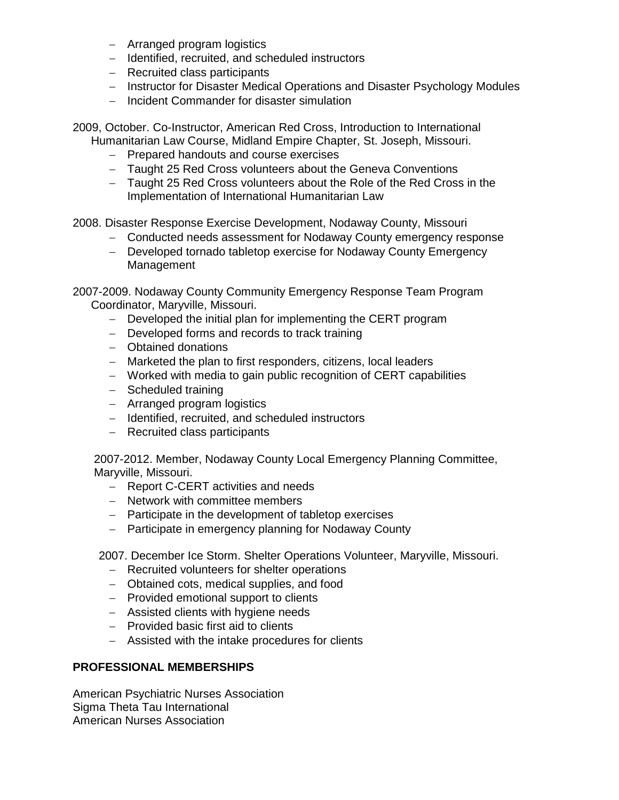- − Arranged program logistics
- − Identified, recruited, and scheduled instructors
- − Recruited class participants
- − Instructor for Disaster Medical Operations and Disaster Psychology Modules
- − Incident Commander for disaster simulation

2009, October. Co-Instructor, American Red Cross, Introduction to International Humanitarian Law Course, Midland Empire Chapter, St. Joseph, Missouri.

- − Prepared handouts and course exercises
- − Taught 25 Red Cross volunteers about the Geneva Conventions
- − Taught 25 Red Cross volunteers about the Role of the Red Cross in the Implementation of International Humanitarian Law

2008. Disaster Response Exercise Development, Nodaway County, Missouri

- − Conducted needs assessment for Nodaway County emergency response
- − Developed tornado tabletop exercise for Nodaway County Emergency Management

2007-2009. Nodaway County Community Emergency Response Team Program Coordinator, Maryville, Missouri.

- − Developed the initial plan for implementing the CERT program
- − Developed forms and records to track training
- − Obtained donations
- − Marketed the plan to first responders, citizens, local leaders
- − Worked with media to gain public recognition of CERT capabilities
- − Scheduled training
- − Arranged program logistics
- − Identified, recruited, and scheduled instructors
- − Recruited class participants

2007-2012. Member, Nodaway County Local Emergency Planning Committee, Maryville, Missouri.

- − Report C-CERT activities and needs
- − Network with committee members
- − Participate in the development of tabletop exercises
- − Participate in emergency planning for Nodaway County

2007. December Ice Storm. Shelter Operations Volunteer, Maryville, Missouri.

- − Recruited volunteers for shelter operations
- − Obtained cots, medical supplies, and food
- − Provided emotional support to clients
- − Assisted clients with hygiene needs
- − Provided basic first aid to clients
- − Assisted with the intake procedures for clients

# **PROFESSIONAL MEMBERSHIPS**

American Psychiatric Nurses Association Sigma Theta Tau International American Nurses Association